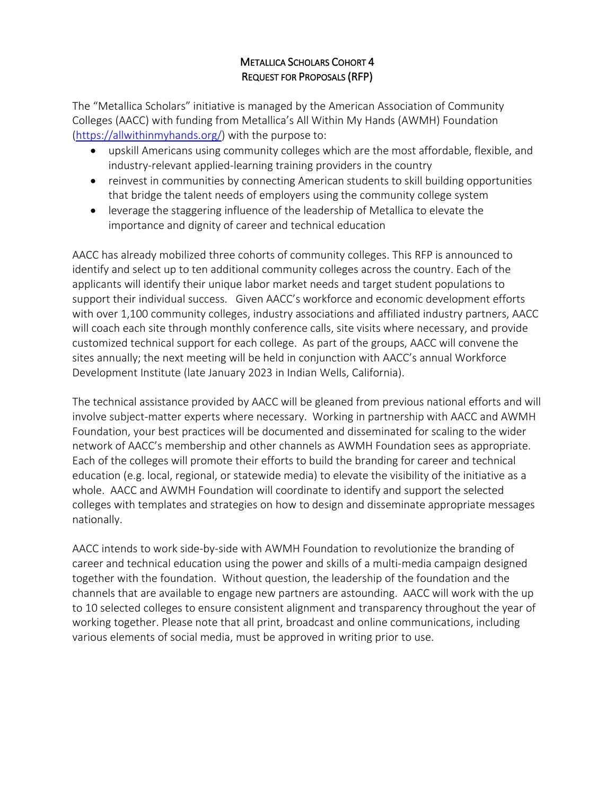## METALLICA SCHOLARS COHORT 4 REQUEST FOR PROPOSALS (RFP)

The "Metallica Scholars" initiative is managed by the American Association of Community Colleges (AACC) with funding from Metallica's All Within My Hands (AWMH) Foundation [\(https://allwithinmyhands.org/\)](https://allwithinmyhands.org/) with the purpose to:

- upskill Americans using community colleges which are the most affordable, flexible, and industry-relevant applied-learning training providers in the country
- reinvest in communities by connecting American students to skill building opportunities that bridge the talent needs of employers using the community college system
- leverage the staggering influence of the leadership of Metallica to elevate the importance and dignity of career and technical education

AACC has already mobilized three cohorts of community colleges. This RFP is announced to identify and select up to ten additional community colleges across the country. Each of the applicants will identify their unique labor market needs and target student populations to support their individual success. Given AACC's workforce and economic development efforts with over 1,100 community colleges, industry associations and affiliated industry partners, AACC will coach each site through monthly conference calls, site visits where necessary, and provide customized technical support for each college. As part of the groups, AACC will convene the sites annually; the next meeting will be held in conjunction with AACC's annual Workforce Development Institute (late January 2023 in Indian Wells, California).

The technical assistance provided by AACC will be gleaned from previous national efforts and will involve subject-matter experts where necessary. Working in partnership with AACC and AWMH Foundation, your best practices will be documented and disseminated for scaling to the wider network of AACC's membership and other channels as AWMH Foundation sees as appropriate. Each of the colleges will promote their efforts to build the branding for career and technical education (e.g. local, regional, or statewide media) to elevate the visibility of the initiative as a whole. AACC and AWMH Foundation will coordinate to identify and support the selected colleges with templates and strategies on how to design and disseminate appropriate messages nationally.

AACC intends to work side-by-side with AWMH Foundation to revolutionize the branding of career and technical education using the power and skills of a multi-media campaign designed together with the foundation. Without question, the leadership of the foundation and the channels that are available to engage new partners are astounding. AACC will work with the up to 10 selected colleges to ensure consistent alignment and transparency throughout the year of working together. Please note that all print, broadcast and online communications, including various elements of social media, must be approved in writing prior to use.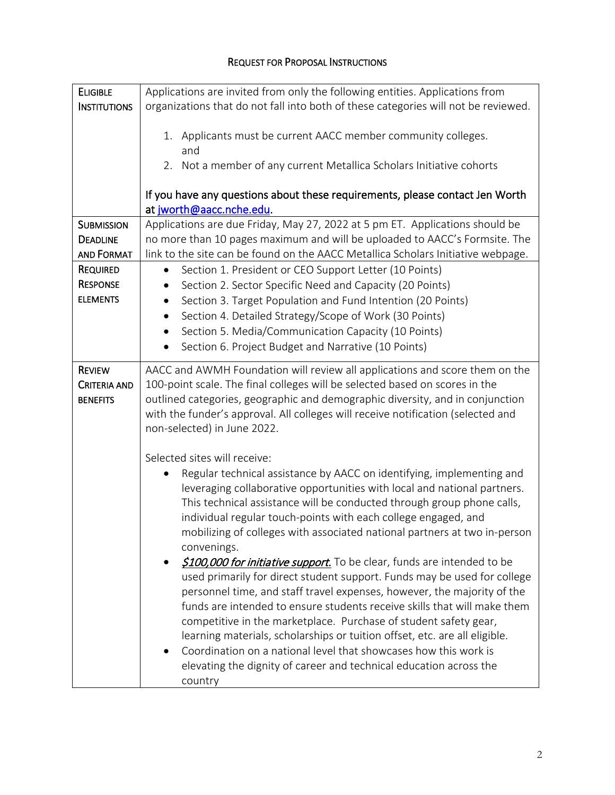#### REQUEST FOR PROPOSAL INSTRUCTIONS

| <b>ELIGIBLE</b>     | Applications are invited from only the following entities. Applications from       |  |  |
|---------------------|------------------------------------------------------------------------------------|--|--|
| <b>INSTITUTIONS</b> | organizations that do not fall into both of these categories will not be reviewed. |  |  |
|                     | 1. Applicants must be current AACC member community colleges.<br>and               |  |  |
|                     | 2. Not a member of any current Metallica Scholars Initiative cohorts               |  |  |
|                     | If you have any questions about these requirements, please contact Jen Worth       |  |  |
|                     | at jworth@aacc.nche.edu.                                                           |  |  |
| <b>SUBMISSION</b>   | Applications are due Friday, May 27, 2022 at 5 pm ET. Applications should be       |  |  |
| <b>DEADLINE</b>     | no more than 10 pages maximum and will be uploaded to AACC's Formsite. The         |  |  |
| <b>AND FORMAT</b>   | link to the site can be found on the AACC Metallica Scholars Initiative webpage.   |  |  |
| <b>REQUIRED</b>     | Section 1. President or CEO Support Letter (10 Points)<br>$\bullet$                |  |  |
| <b>RESPONSE</b>     | Section 2. Sector Specific Need and Capacity (20 Points)                           |  |  |
| <b>ELEMENTS</b>     | Section 3. Target Population and Fund Intention (20 Points)                        |  |  |
|                     | Section 4. Detailed Strategy/Scope of Work (30 Points)<br>$\bullet$                |  |  |
|                     | Section 5. Media/Communication Capacity (10 Points)<br>$\bullet$                   |  |  |
|                     | Section 6. Project Budget and Narrative (10 Points)                                |  |  |
| <b>REVIEW</b>       | AACC and AWMH Foundation will review all applications and score them on the        |  |  |
| <b>CRITERIA AND</b> | 100-point scale. The final colleges will be selected based on scores in the        |  |  |
| <b>BENEFITS</b>     | outlined categories, geographic and demographic diversity, and in conjunction      |  |  |
|                     | with the funder's approval. All colleges will receive notification (selected and   |  |  |
|                     | non-selected) in June 2022.                                                        |  |  |
|                     | Selected sites will receive:                                                       |  |  |
|                     | Regular technical assistance by AACC on identifying, implementing and              |  |  |
|                     | leveraging collaborative opportunities with local and national partners.           |  |  |
|                     | This technical assistance will be conducted through group phone calls,             |  |  |
|                     | individual regular touch-points with each college engaged, and                     |  |  |
|                     | mobilizing of colleges with associated national partners at two in-person          |  |  |
|                     | convenings.                                                                        |  |  |
|                     | \$100,000 for initiative support. To be clear, funds are intended to be            |  |  |
|                     | used primarily for direct student support. Funds may be used for college           |  |  |
|                     | personnel time, and staff travel expenses, however, the majority of the            |  |  |
|                     | funds are intended to ensure students receive skills that will make them           |  |  |
|                     | competitive in the marketplace. Purchase of student safety gear,                   |  |  |
|                     | learning materials, scholarships or tuition offset, etc. are all eligible.         |  |  |
|                     | Coordination on a national level that showcases how this work is                   |  |  |
|                     | elevating the dignity of career and technical education across the                 |  |  |
|                     | country                                                                            |  |  |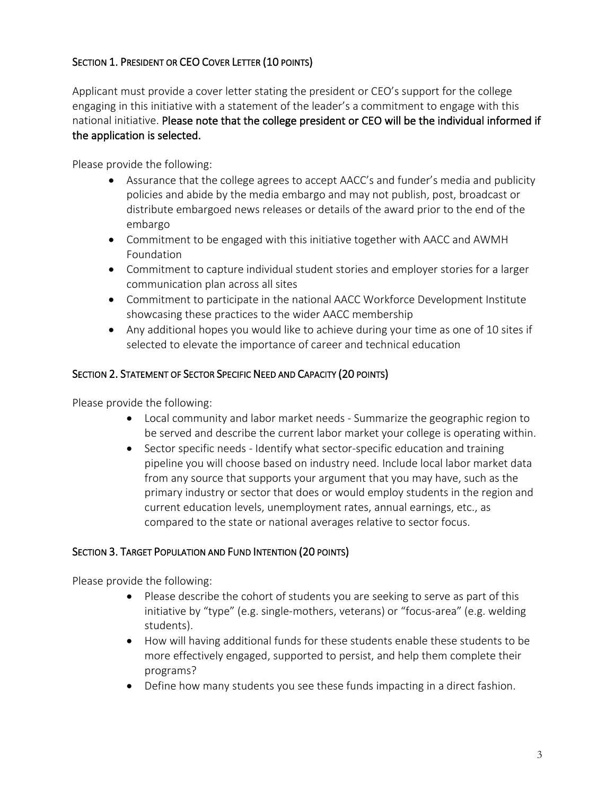# SECTION 1. PRESIDENT OR CEO COVER LETTER (10 POINTS)

Applicant must provide a cover letter stating the president or CEO's support for the college engaging in this initiative with a statement of the leader's a commitment to engage with this national initiative. Please note that the college president or CEO will be the individual informed if the application is selected.

Please provide the following:

- Assurance that the college agrees to accept AACC's and funder's media and publicity policies and abide by the media embargo and may not publish, post, broadcast or distribute embargoed news releases or details of the award prior to the end of the embargo
- Commitment to be engaged with this initiative together with AACC and AWMH Foundation
- Commitment to capture individual student stories and employer stories for a larger communication plan across all sites
- Commitment to participate in the national AACC Workforce Development Institute showcasing these practices to the wider AACC membership
- Any additional hopes you would like to achieve during your time as one of 10 sites if selected to elevate the importance of career and technical education

### SECTION 2. STATEMENT OF SECTOR SPECIFIC NEED AND CAPACITY (20 POINTS)

Please provide the following:

- Local community and labor market needs Summarize the geographic region to be served and describe the current labor market your college is operating within.
- Sector specific needs Identify what sector-specific education and training pipeline you will choose based on industry need. Include local labor market data from any source that supports your argument that you may have, such as the primary industry or sector that does or would employ students in the region and current education levels, unemployment rates, annual earnings, etc., as compared to the state or national averages relative to sector focus.

#### SECTION 3. TARGET POPULATION AND FUND INTENTION (20 POINTS)

Please provide the following:

- Please describe the cohort of students you are seeking to serve as part of this initiative by "type" (e.g. single-mothers, veterans) or "focus-area" (e.g. welding students).
- How will having additional funds for these students enable these students to be more effectively engaged, supported to persist, and help them complete their programs?
- Define how many students you see these funds impacting in a direct fashion.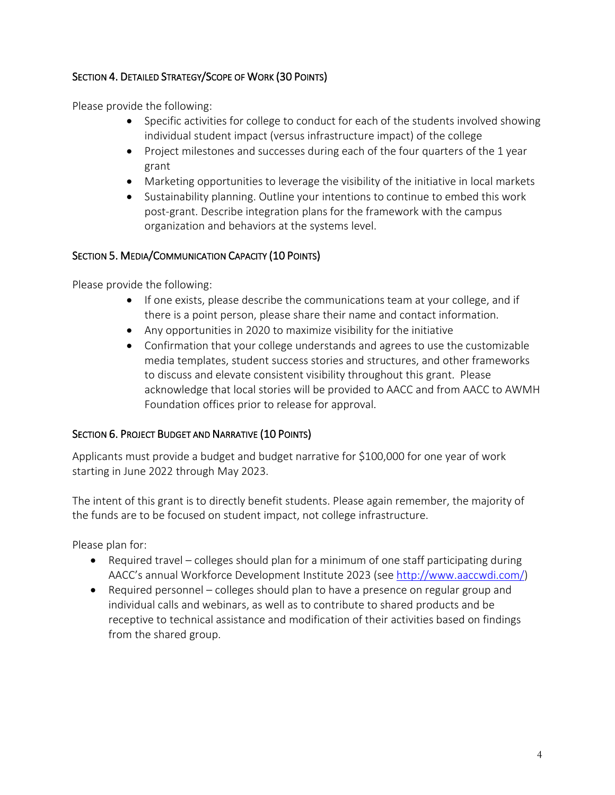## SECTION 4. DETAILED STRATEGY/SCOPE OF WORK (30 POINTS)

Please provide the following:

- Specific activities for college to conduct for each of the students involved showing individual student impact (versus infrastructure impact) of the college
- Project milestones and successes during each of the four quarters of the 1 year grant
- Marketing opportunities to leverage the visibility of the initiative in local markets
- Sustainability planning. Outline your intentions to continue to embed this work post-grant. Describe integration plans for the framework with the campus organization and behaviors at the systems level.

#### SECTION 5. MEDIA/COMMUNICATION CAPACITY (10 POINTS)

Please provide the following:

- If one exists, please describe the communications team at your college, and if there is a point person, please share their name and contact information.
- Any opportunities in 2020 to maximize visibility for the initiative
- Confirmation that your college understands and agrees to use the customizable media templates, student success stories and structures, and other frameworks to discuss and elevate consistent visibility throughout this grant. Please acknowledge that local stories will be provided to AACC and from AACC to AWMH Foundation offices prior to release for approval.

#### SECTION 6. PROJECT BUDGET AND NARRATIVE (10 POINTS)

Applicants must provide a budget and budget narrative for \$100,000 for one year of work starting in June 2022 through May 2023.

The intent of this grant is to directly benefit students. Please again remember, the majority of the funds are to be focused on student impact, not college infrastructure.

Please plan for:

- Required travel colleges should plan for a minimum of one staff participating during AACC's annual Workforce Development Institute 2023 (see [http://www.aaccwdi.com/\)](http://www.aaccwdi.com/)
- Required personnel colleges should plan to have a presence on regular group and individual calls and webinars, as well as to contribute to shared products and be receptive to technical assistance and modification of their activities based on findings from the shared group.